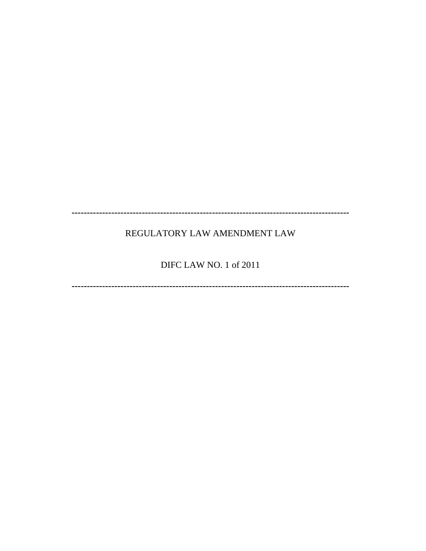# REGULATORY LAW AMENDMENT LAW

# DIFC LAW NO. 1 of 2011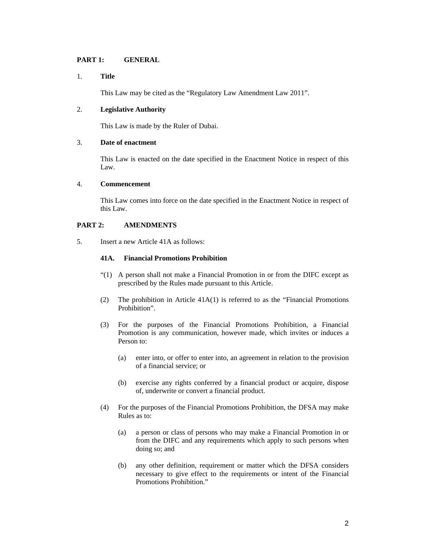## **PART 1: GENERAL**

#### 1. **Title**

This Law may be cited as the "Regulatory Law Amendment Law 2011".

## 2. **Legislative Authority**

This Law is made by the Ruler of Dubai.

## 3. **Date of enactment**

This Law is enacted on the date specified in the Enactment Notice in respect of this Law.

#### 4. **Commencement**

This Law comes into force on the date specified in the Enactment Notice in respect of this Law.

## **PART 2: AMENDMENTS**

5. Insert a new Article 41A as follows:

#### **41A. Financial Promotions Prohibition**

- "(1) A person shall not make a Financial Promotion in or from the DIFC except as prescribed by the Rules made pursuant to this Article.
- (2) The prohibition in Article  $41A(1)$  is referred to as the "Financial Promotions" Prohibition".
- (3) For the purposes of the Financial Promotions Prohibition, a Financial Promotion is any communication, however made, which invites or induces a Person to:
	- (a) enter into, or offer to enter into, an agreement in relation to the provision of a financial service; or
	- (b) exercise any rights conferred by a financial product or acquire, dispose of, underwrite or convert a financial product.
- (4) For the purposes of the Financial Promotions Prohibition, the DFSA may make Rules as to:
	- (a) a person or class of persons who may make a Financial Promotion in or from the DIFC and any requirements which apply to such persons when doing so; and
	- (b) any other definition, requirement or matter which the DFSA considers necessary to give effect to the requirements or intent of the Financial Promotions Prohibition."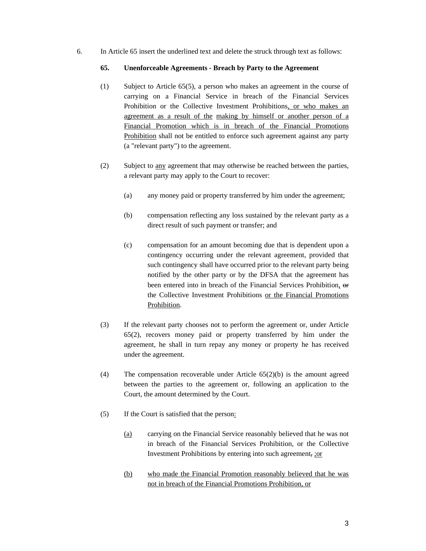6. In Article 65 insert the underlined text and delete the struck through text as follows:

#### **65. Unenforceable Agreements - Breach by Party to the Agreement**

- (1) Subject to Article 65(5), a person who makes an agreement in the course of carrying on a Financial Service in breach of the Financial Services Prohibition or the Collective Investment Prohibitions, or who makes an agreement as a result of the making by himself or another person of a Financial Promotion which is in breach of the Financial Promotions Prohibition shall not be entitled to enforce such agreement against any party (a "relevant party") to the agreement.
- (2) Subject to any agreement that may otherwise be reached between the parties, a relevant party may apply to the Court to recover:
	- (a) any money paid or property transferred by him under the agreement;
	- (b) compensation reflecting any loss sustained by the relevant party as a direct result of such payment or transfer; and
	- (c) compensation for an amount becoming due that is dependent upon a contingency occurring under the relevant agreement, provided that such contingency shall have occurred prior to the relevant party being notified by the other party or by the DFSA that the agreement has been entered into in breach of the Financial Services Prohibition, or the Collective Investment Prohibitions or the Financial Promotions Prohibition.
- (3) If the relevant party chooses not to perform the agreement or, under Article 65(2), recovers money paid or property transferred by him under the agreement, he shall in turn repay any money or property he has received under the agreement.
- (4) The compensation recoverable under Article 65(2)(b) is the amount agreed between the parties to the agreement or, following an application to the Court, the amount determined by the Court.
- (5) If the Court is satisfied that the person:
	- (a) carrying on the Financial Service reasonably believed that he was not in breach of the Financial Services Prohibition, or the Collective Investment Prohibitions by entering into such agreement, ;or
	- (b) who made the Financial Promotion reasonably believed that he was not in breach of the Financial Promotions Prohibition, or